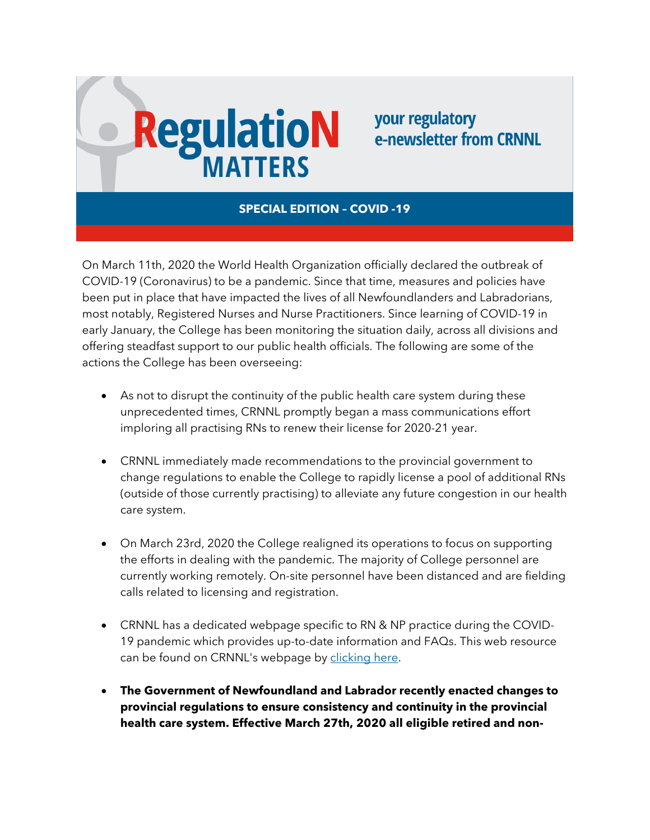## **RegulatioN**

## your regulatory e-newsletter from CRNNL

## **SPECIAL EDITION – COVID -19**

On March 11th, 2020 the World Health Organization officially declared the outbreak of COVID-19 (Coronavirus) to be a pandemic. Since that time, measures and policies have been put in place that have impacted the lives of all Newfoundlanders and Labradorians, most notably, Registered Nurses and Nurse Practitioners. Since learning of COVID-19 in early January, the College has been monitoring the situation daily, across all divisions and offering steadfast support to our public health officials. The following are some of the actions the College has been overseeing:

- As not to disrupt the continuity of the public health care system during these unprecedented times, CRNNL promptly began a mass communications effort imploring all practising RNs to renew their license for 2020-21 year.
- CRNNL immediately made recommendations to the provincial government to change regulations to enable the College to rapidly license a pool of additional RNs (outside of those currently practising) to alleviate any future congestion in our health care system.
- On March 23rd, 2020 the College realigned its operations to focus on supporting the efforts in dealing with the pandemic. The majority of College personnel are currently working remotely. On-site personnel have been distanced and are fielding calls related to licensing and registration.
- CRNNL has a dedicated webpage specific to RN & NP practice during the COVID-19 pandemic which provides up-to-date information and FAQs. This web resource can be found on CRNNL's webpage by [clicking here.](https://www.crnnl.ca/information-registered-nurses-and-nurse-practitioners-covid-19)
- **The Government of Newfoundland and Labrador recently enacted changes to provincial regulations to ensure consistency and continuity in the provincial health care system. Effective March 27th, 2020 all eligible retired and non-**